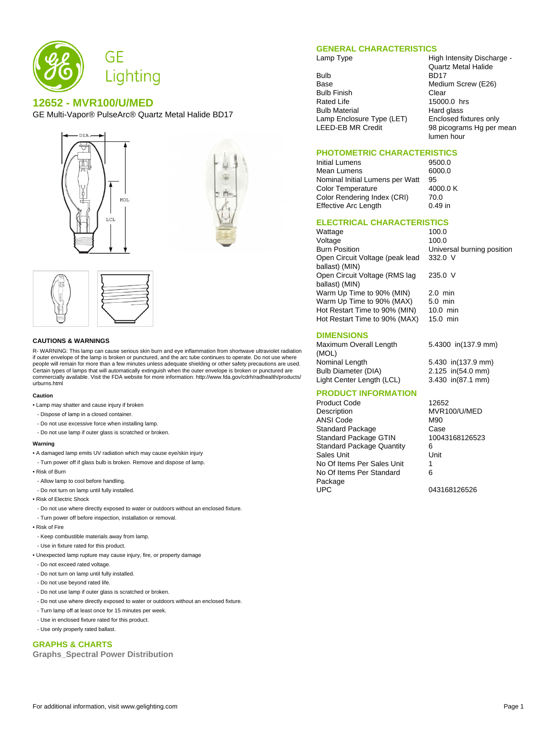

# **12652 - MVR100/U/MED**

GE Multi-Vapor® PulseArc® Quartz Metal Halide BD17







### **CAUTIONS & WARNINGS**

R- WARNING: This lamp can cause serious skin burn and eye inflammation from shortwave ultraviolet radiation if outer envelope of the lamp is broken or punctured, and the arc tube continues to operate. Do not use where people will remain for more than a few minutes unless adequate shielding or other safety precautions are used. Certain types of lamps that will automatically extinguish when the outer envelope is broken or punctured are commercially available. Visit the FDA website for more information: http://www.fda.gov/cdrh/radhealth/products/ urburns.html

### **Caution**

- Lamp may shatter and cause injury if broken
- Dispose of lamp in a closed container.
- Do not use excessive force when installing lamp.
- Do not use lamp if outer glass is scratched or broken.

#### **Warning**

- A damaged lamp emits UV radiation which may cause eye/skin injury
- Turn power off if glass bulb is broken. Remove and dispose of lamp.
- Risk of Burn
- Allow lamp to cool before handling.
- Do not turn on lamp until fully installed.
- Risk of Electric Shock
- Do not use where directly exposed to water or outdoors without an enclosed fixture.
- Turn power off before inspection, installation or removal.
- Risk of Fire
- Keep combustible materials away from lamp.
- Use in fixture rated for this product.
- Unexpected lamp rupture may cause injury, fire, or property damage
- Do not exceed rated voltage.
- Do not turn on lamp until fully installed.
- Do not use beyond rated life.
- Do not use lamp if outer glass is scratched or broken.
- Do not use where directly exposed to water or outdoors without an enclosed fixture.
- Turn lamp off at least once for 15 minutes per week.
- Use in enclosed fixture rated for this product.
- Use only properly rated ballast.

## **GRAPHS & CHARTS**

**Graphs\_Spectral Power Distribution**

## **GENERAL CHARACTERISTICS**

Bulb BD17<br>Base Mediu Bulb Finish<br>Rated Life **Clear** 15000 Bulb Material **Hard glass** Lamp Enclosure Type (LET) Enclosed fixtures only<br>LEED-EB MR Credit 98 picograms Hg per r

Lamp Type **High Intensity Discharge -**Quartz Metal Halide Medium Screw (E26) 15000.0 hrs 98 picograms Hg per mean lumen hour

# **PHOTOMETRIC CHARACTERISTICS**

### **Initial Lumens** Mean Lumens 6000.0 Nominal Initial Lumens per Watt 95<br>Color Temperature 4000 0 K Color Temperature 4000<br>Color Rendering Index (CRI) 70.0 Color Rendering Index (CRI) Effective Arc Length 0.49 in

332.0 V

235.0 V

### **ELECTRICAL CHARACTERISTICS**

Wattage 100.0 Voltage 100.0<br>Burn Position 100.0 Open Circuit Voltage (peak lead ballast) (MIN) Open Circuit Voltage (RMS lag ballast) (MIN) Warm Up Time to 90% (MIN) 2.0 min Warm Up Time to 90% (MAX) 5.0 min Hot Restart Time to 90% (MIN) 10.0 min<br>Hot Restart Time to 90% (MAX) 15.0 min Hot Restart Time to 90% (MAX)

## **DIMENSIONS**

Maximum Overall Length (MOL) Nominal Length 5.430 in(137.9 mm) Bulb Diameter (DIA) 2.125 in(54.0 mm) Light Center Length (LCL) 3.430 in(87.1 mm)

5.4300 in(137.9 mm)

Universal burning position

# **PRODUCT INFORMATION**

Product Code 12652 Description MVR100/U/MED ANSI Code M90 Standard Package Case<br>
Standard Package GTIN 10043168126523 Standard Package GTIN Standard Package Quantity 6 Sales Unit Unit No Of Items Per Sales Unit 1 No Of Items Per Standard Package<br>UPC

6

043168126526